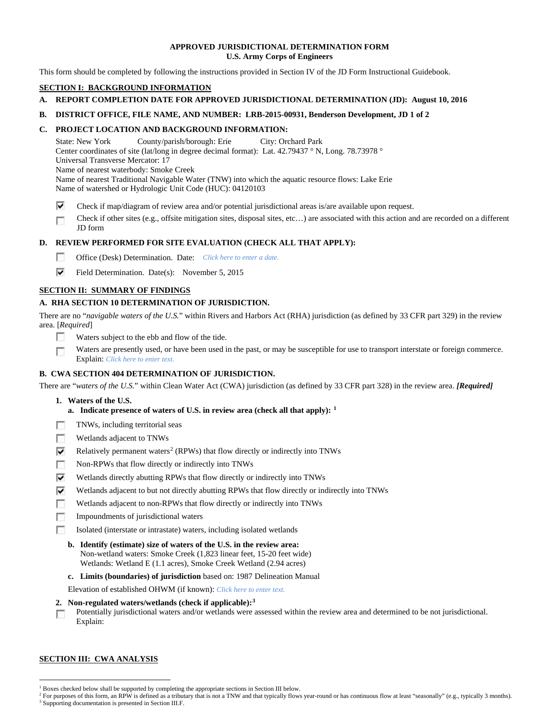## **APPROVED JURISDICTIONAL DETERMINATION FORM U.S. Army Corps of Engineers**

This form should be completed by following the instructions provided in Section IV of the JD Form Instructional Guidebook.

# **SECTION I: BACKGROUND INFORMATION**

# **A. REPORT COMPLETION DATE FOR APPROVED JURISDICTIONAL DETERMINATION (JD): August 10, 2016**

## **B. DISTRICT OFFICE, FILE NAME, AND NUMBER: LRB-2015-00931, Benderson Development, JD 1 of 2**

## **C. PROJECT LOCATION AND BACKGROUND INFORMATION:**

State: New York County/parish/borough: Erie City: Orchard Park Center coordinates of site (lat/long in degree decimal format): Lat. 42.79437 ° N, Long. 78.73978 ° Universal Transverse Mercator: 17 Name of nearest waterbody: Smoke Creek Name of nearest Traditional Navigable Water (TNW) into which the aquatic resource flows: Lake Erie Name of watershed or Hydrologic Unit Code (HUC): 04120103

⊽ Check if map/diagram of review area and/or potential jurisdictional areas is/are available upon request.

Check if other sites (e.g., offsite mitigation sites, disposal sites, etc…) are associated with this action and are recorded on a different г JD form

## **D. REVIEW PERFORMED FOR SITE EVALUATION (CHECK ALL THAT APPLY):**

- $\sim$ Office (Desk) Determination. Date: *Click here to enter a date.*
- ⊽ Field Determination. Date(s): November 5, 2015

## **SECTION II: SUMMARY OF FINDINGS**

## **A. RHA SECTION 10 DETERMINATION OF JURISDICTION.**

There are no "*navigable waters of the U.S.*" within Rivers and Harbors Act (RHA) jurisdiction (as defined by 33 CFR part 329) in the review area. [*Required*]

- m Waters subject to the ebb and flow of the tide.
- Waters are presently used, or have been used in the past, or may be susceptible for use to transport interstate or foreign commerce. 下 Explain: *Click here to enter text.*

## **B. CWA SECTION 404 DETERMINATION OF JURISDICTION.**

There are "*waters of the U.S.*" within Clean Water Act (CWA) jurisdiction (as defined by 33 CFR part 328) in the review area. *[Required]*

- **1. Waters of the U.S.**
	- **a. Indicate presence of waters of U.S. in review area (check all that apply): [1](#page-0-0)**
- m TNWs, including territorial seas
- $\sim$ Wetlands adjacent to TNWs
- ⊽ Relatively permanent waters<sup>[2](#page-0-1)</sup> (RPWs) that flow directly or indirectly into TNWs
- $\overline{a}$ Non-RPWs that flow directly or indirectly into TNWs
- ⊽ Wetlands directly abutting RPWs that flow directly or indirectly into TNWs
- ⊽ Wetlands adjacent to but not directly abutting RPWs that flow directly or indirectly into TNWs
- г Wetlands adjacent to non-RPWs that flow directly or indirectly into TNWs
- **To** Impoundments of jurisdictional waters
- Isolated (interstate or intrastate) waters, including isolated wetlands п
	- **b. Identify (estimate) size of waters of the U.S. in the review area:** Non-wetland waters: Smoke Creek (1,823 linear feet, 15-20 feet wide) Wetlands: Wetland E (1.1 acres), Smoke Creek Wetland (2.94 acres)
	- **c. Limits (boundaries) of jurisdiction** based on: 1987 Delineation Manual

Elevation of established OHWM (if known): *Click here to enter text.*

- **2. Non-regulated waters/wetlands (check if applicable):[3](#page-0-2)**
- Potentially jurisdictional waters and/or wetlands were assessed within the review area and determined to be not jurisdictional. m Explain:

### **SECTION III: CWA ANALYSIS**

<span id="page-0-0"></span><sup>&</sup>lt;sup>1</sup> Boxes checked below shall be supported by completing the appropriate sections in Section III below.

<span id="page-0-2"></span><span id="page-0-1"></span><sup>&</sup>lt;sup>2</sup> For purposes of this form, an RPW is defined as a tributary that is not a TNW and that typically flows year-round or has continuous flow at least "seasonally" (e.g., typically 3 months). <sup>3</sup> Supporting documentation is presented in Section III.F.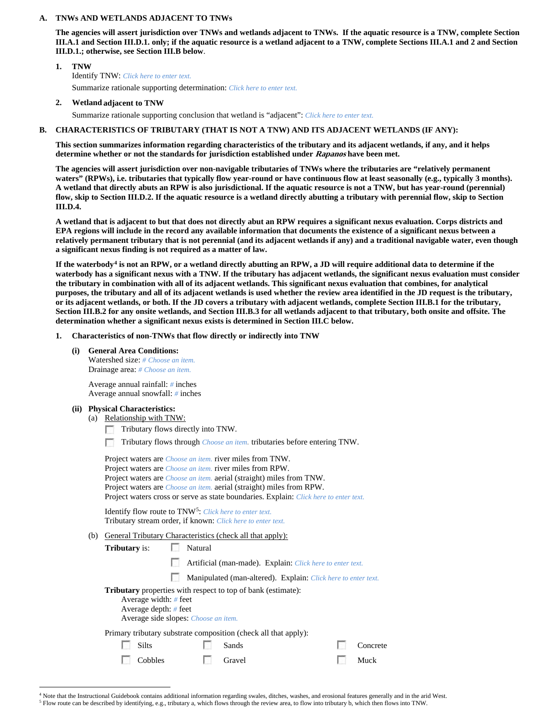### **A. TNWs AND WETLANDS ADJACENT TO TNWs**

**The agencies will assert jurisdiction over TNWs and wetlands adjacent to TNWs. If the aquatic resource is a TNW, complete Section III.A.1 and Section III.D.1. only; if the aquatic resource is a wetland adjacent to a TNW, complete Sections III.A.1 and 2 and Section III.D.1.; otherwise, see Section III.B below**.

## **1. TNW**  Identify TNW: *Click here to enter text.* Summarize rationale supporting determination: *Click here to enter text.*

**2. Wetland adjacent to TNW**

Summarize rationale supporting conclusion that wetland is "adjacent": *Click here to enter text.*

### **B. CHARACTERISTICS OF TRIBUTARY (THAT IS NOT A TNW) AND ITS ADJACENT WETLANDS (IF ANY):**

**This section summarizes information regarding characteristics of the tributary and its adjacent wetlands, if any, and it helps determine whether or not the standards for jurisdiction established under Rapanos have been met.** 

**The agencies will assert jurisdiction over non-navigable tributaries of TNWs where the tributaries are "relatively permanent waters" (RPWs), i.e. tributaries that typically flow year-round or have continuous flow at least seasonally (e.g., typically 3 months). A wetland that directly abuts an RPW is also jurisdictional. If the aquatic resource is not a TNW, but has year-round (perennial) flow, skip to Section III.D.2. If the aquatic resource is a wetland directly abutting a tributary with perennial flow, skip to Section III.D.4.**

**A wetland that is adjacent to but that does not directly abut an RPW requires a significant nexus evaluation. Corps districts and EPA regions will include in the record any available information that documents the existence of a significant nexus between a relatively permanent tributary that is not perennial (and its adjacent wetlands if any) and a traditional navigable water, even though a significant nexus finding is not required as a matter of law.**

**If the waterbody[4](#page-1-0) is not an RPW, or a wetland directly abutting an RPW, a JD will require additional data to determine if the waterbody has a significant nexus with a TNW. If the tributary has adjacent wetlands, the significant nexus evaluation must consider the tributary in combination with all of its adjacent wetlands. This significant nexus evaluation that combines, for analytical purposes, the tributary and all of its adjacent wetlands is used whether the review area identified in the JD request is the tributary, or its adjacent wetlands, or both. If the JD covers a tributary with adjacent wetlands, complete Section III.B.1 for the tributary, Section III.B.2 for any onsite wetlands, and Section III.B.3 for all wetlands adjacent to that tributary, both onsite and offsite. The determination whether a significant nexus exists is determined in Section III.C below.**

### **1. Characteristics of non-TNWs that flow directly or indirectly into TNW**

**(i) General Area Conditions:** Watershed size: *# Choose an item.*

Drainage area: *# Choose an item.*

Average annual rainfall: *#* inches Average annual snowfall: *#* inches

### **(ii) Physical Characteristics:**

(a) Relationship with TNW:

Tributary flows directly into TNW.

г Tributary flows through *Choose an item.* tributaries before entering TNW.

|     | Project waters are <i>Choose an item</i> , river miles from TNW.<br>Project waters are <i>Choose an item</i> , river miles from RPW.<br>Project waters are <i>Choose an item.</i> aerial (straight) miles from TNW.<br>Project waters are <i>Choose an item.</i> aerial (straight) miles from RPW.<br>Project waters cross or serve as state boundaries. Explain: Click here to enter text. |                                                                                                                                    |                                                                 |  |          |  |  |  |  |  |
|-----|---------------------------------------------------------------------------------------------------------------------------------------------------------------------------------------------------------------------------------------------------------------------------------------------------------------------------------------------------------------------------------------------|------------------------------------------------------------------------------------------------------------------------------------|-----------------------------------------------------------------|--|----------|--|--|--|--|--|
|     |                                                                                                                                                                                                                                                                                                                                                                                             | Identify flow route to TNW <sup>5</sup> : Click here to enter text.<br>Tributary stream order, if known: Click here to enter text. |                                                                 |  |          |  |  |  |  |  |
| (b) | <b>General Tributary Characteristics (check all that apply):</b>                                                                                                                                                                                                                                                                                                                            |                                                                                                                                    |                                                                 |  |          |  |  |  |  |  |
|     | <b>Tributary</b> is:                                                                                                                                                                                                                                                                                                                                                                        | Natural                                                                                                                            |                                                                 |  |          |  |  |  |  |  |
|     |                                                                                                                                                                                                                                                                                                                                                                                             |                                                                                                                                    | Artificial (man-made). Explain: Click here to enter text.       |  |          |  |  |  |  |  |
|     |                                                                                                                                                                                                                                                                                                                                                                                             |                                                                                                                                    | Manipulated (man-altered). Explain: Click here to enter text.   |  |          |  |  |  |  |  |
|     | <b>Tributary</b> properties with respect to top of bank (estimate):<br>Average width: $#$ feet<br>Average depth: $#$ feet<br>Average side slopes: Choose an item.                                                                                                                                                                                                                           |                                                                                                                                    |                                                                 |  |          |  |  |  |  |  |
|     |                                                                                                                                                                                                                                                                                                                                                                                             |                                                                                                                                    | Primary tributary substrate composition (check all that apply): |  |          |  |  |  |  |  |
|     | <b>Silts</b>                                                                                                                                                                                                                                                                                                                                                                                |                                                                                                                                    | Sands                                                           |  | Concrete |  |  |  |  |  |
|     | Cobbles                                                                                                                                                                                                                                                                                                                                                                                     |                                                                                                                                    | Gravel                                                          |  | Muck     |  |  |  |  |  |
|     |                                                                                                                                                                                                                                                                                                                                                                                             |                                                                                                                                    |                                                                 |  |          |  |  |  |  |  |

<span id="page-1-1"></span><span id="page-1-0"></span> <sup>4</sup> Note that the Instructional Guidebook contains additional information regarding swales, ditches, washes, and erosional features generally and in the arid West. <sup>5</sup> Flow route can be described by identifying, e.g., tributary a, which flows through the review area, to flow into tributary b, which then flows into TNW.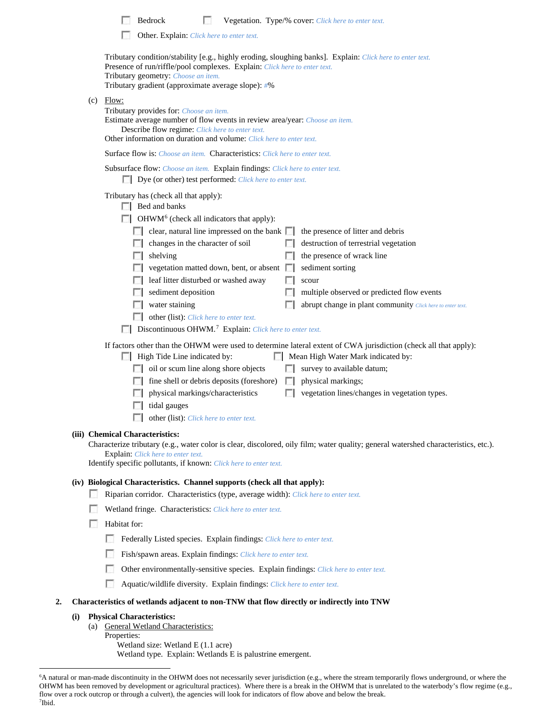|    |     | Bedrock<br>Vegetation. Type/% cover: Click here to enter text.<br>Other. Explain: Click here to enter text.                                                                                                                                                                                                                                                                                                                                                                                                                                                                                                                                                                                                                                                                                                                                                                                                                                                                                                                                                                                                                                                                         |
|----|-----|-------------------------------------------------------------------------------------------------------------------------------------------------------------------------------------------------------------------------------------------------------------------------------------------------------------------------------------------------------------------------------------------------------------------------------------------------------------------------------------------------------------------------------------------------------------------------------------------------------------------------------------------------------------------------------------------------------------------------------------------------------------------------------------------------------------------------------------------------------------------------------------------------------------------------------------------------------------------------------------------------------------------------------------------------------------------------------------------------------------------------------------------------------------------------------------|
|    |     |                                                                                                                                                                                                                                                                                                                                                                                                                                                                                                                                                                                                                                                                                                                                                                                                                                                                                                                                                                                                                                                                                                                                                                                     |
|    |     | Tributary condition/stability [e.g., highly eroding, sloughing banks]. Explain: Click here to enter text.<br>Presence of run/riffle/pool complexes. Explain: Click here to enter text.<br>Tributary geometry: Choose an item.<br>Tributary gradient (approximate average slope): #%                                                                                                                                                                                                                                                                                                                                                                                                                                                                                                                                                                                                                                                                                                                                                                                                                                                                                                 |
|    |     | $(c)$ Flow:<br>Tributary provides for: Choose an item.<br>Estimate average number of flow events in review area/year: Choose an item.<br>Describe flow regime: Click here to enter text.<br>Other information on duration and volume: Click here to enter text.                                                                                                                                                                                                                                                                                                                                                                                                                                                                                                                                                                                                                                                                                                                                                                                                                                                                                                                     |
|    |     | Surface flow is: Choose an item. Characteristics: Click here to enter text.                                                                                                                                                                                                                                                                                                                                                                                                                                                                                                                                                                                                                                                                                                                                                                                                                                                                                                                                                                                                                                                                                                         |
|    |     | Subsurface flow: Choose an item. Explain findings: Click here to enter text.<br>Dye (or other) test performed: Click here to enter text.                                                                                                                                                                                                                                                                                                                                                                                                                                                                                                                                                                                                                                                                                                                                                                                                                                                                                                                                                                                                                                            |
|    |     | Tributary has (check all that apply):<br>Bed and banks<br>$\Box$ OHWM <sup>6</sup> (check all indicators that apply):<br>clear, natural line impressed on the bank $\Box$<br>the presence of litter and debris<br>L.<br>changes in the character of soil<br>destruction of terrestrial vegetation<br>the presence of wrack line<br>shelving<br>vegetation matted down, bent, or absent<br>sediment sorting<br>leaf litter disturbed or washed away<br>scour<br>sediment deposition<br>multiple observed or predicted flow events<br>water staining<br>abrupt change in plant community Click here to enter text.<br>other (list): Click here to enter text.<br><b>Discontinuous OHWM.</b> <sup>7</sup> Explain: Click here to enter text.<br>If factors other than the OHWM were used to determine lateral extent of CWA jurisdiction (check all that apply):<br>High Tide Line indicated by:<br>Mean High Water Mark indicated by:<br>oil or scum line along shore objects<br>survey to available datum;<br>physical markings;<br>fine shell or debris deposits (foreshore)<br>$\mathcal{L}$<br>vegetation lines/changes in vegetation types.<br>physical markings/characteristics |
|    |     | $\Box$ tidal gauges                                                                                                                                                                                                                                                                                                                                                                                                                                                                                                                                                                                                                                                                                                                                                                                                                                                                                                                                                                                                                                                                                                                                                                 |
|    |     | п<br>other (list): Click here to enter text.                                                                                                                                                                                                                                                                                                                                                                                                                                                                                                                                                                                                                                                                                                                                                                                                                                                                                                                                                                                                                                                                                                                                        |
|    |     | (iii) Chemical Characteristics:<br>Characterize tributary (e.g., water color is clear, discolored, oily film; water quality; general watershed characteristics, etc.).<br>Explain: Click here to enter text.<br>Identify specific pollutants, if known: Click here to enter text.                                                                                                                                                                                                                                                                                                                                                                                                                                                                                                                                                                                                                                                                                                                                                                                                                                                                                                   |
|    |     | (iv) Biological Characteristics. Channel supports (check all that apply):<br>L.<br>Riparian corridor. Characteristics (type, average width): Click here to enter text.<br>Wetland fringe. Characteristics: Click here to enter text.<br>Habitat for:<br>L.<br>Federally Listed species. Explain findings: Click here to enter text.<br>Fish/spawn areas. Explain findings: Click here to enter text.<br>Other environmentally-sensitive species. Explain findings: Click here to enter text.<br>u<br>Aquatic/wildlife diversity. Explain findings: Click here to enter text.                                                                                                                                                                                                                                                                                                                                                                                                                                                                                                                                                                                                        |
| 2. |     | Characteristics of wetlands adjacent to non-TNW that flow directly or indirectly into TNW                                                                                                                                                                                                                                                                                                                                                                                                                                                                                                                                                                                                                                                                                                                                                                                                                                                                                                                                                                                                                                                                                           |
|    | (i) | <b>Physical Characteristics:</b><br>(a) General Wetland Characteristics:                                                                                                                                                                                                                                                                                                                                                                                                                                                                                                                                                                                                                                                                                                                                                                                                                                                                                                                                                                                                                                                                                                            |

Properties:

Wetland size: Wetland E (1.1 acre)

Wetland type. Explain: Wetlands E is palustrine emergent.

<span id="page-2-1"></span><span id="page-2-0"></span> <sup>6</sup> <sup>6</sup>A natural or man-made discontinuity in the OHWM does not necessarily sever jurisdiction (e.g., where the stream temporarily flows underground, or where the OHWM has been removed by development or agricultural practices). Where there is a break in the OHWM that is unrelated to the waterbody's flow regime (e.g., flow over a rock outcrop or through a culvert), the agencies will look for indicators of flow above and below the break. 7 Ibid.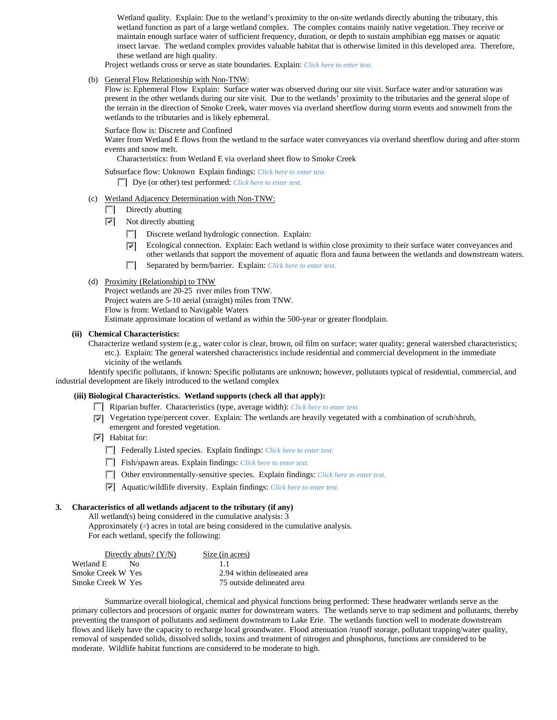Wetland quality. Explain: Due to the wetland's proximity to the on-site wetlands directly abutting the tributary, this wetland function as part of a large wetland complex. The complex contains mainly native vegetation. They receive or maintain enough surface water of sufficient frequency, duration, or depth to sustain amphibian egg masses or aquatic insect larvae. The wetland complex provides valuable habitat that is otherwise limited in this developed area. Therefore, these wetland are high quality.

Project wetlands cross or serve as state boundaries. Explain: *Click here to enter text.*

(b) General Flow Relationship with Non-TNW:

Flow is: Ephemeral Flow Explain: Surface water was observed during our site visit. Surface water and/or saturation was present in the other wetlands during our site visit. Due to the wetlands' proximity to the tributaries and the general slope of the terrain in the direction of Smoke Creek, water moves via overland sheetflow during storm events and snowmelt from the wetlands to the tributaries and is likely ephemeral.

Surface flow is: Discrete and Confined

Water from Wetland E flows from the wetland to the surface water conveyances via overland sheetflow during and after storm events and snow melt.

Characteristics: from Wetland E via overland sheet flow to Smoke Creek

Subsurface flow: Unknown Explain findings: *Click here to enter text.*

Dye (or other) test performed: *Click here to enter text.*

- (c) Wetland Adjacency Determination with Non-TNW:
	- $\Box$  Directly abutting
	- $\triangledown$  Not directly abutting
		- $\Box$ Discrete wetland hydrologic connection. Explain:
		- Ecological connection. Explain: Each wetland is within close proximity to their surface water conveyances and  $\overline{ }$ other wetlands that support the movement of aquatic flora and fauna between the wetlands and downstream waters.
		- $\Box$ Separated by berm/barrier. Explain: *Click here to enter text.*

#### (d) Proximity (Relationship) to TNW

Project wetlands are 20-25 river miles from TNW. Project waters are 5-10 aerial (straight) miles from TNW. Flow is from: Wetland to Navigable Waters Estimate approximate location of wetland as within the 500-year or greater floodplain.

### **(ii) Chemical Characteristics:**

Characterize wetland system (e.g., water color is clear, brown, oil film on surface; water quality; general watershed characteristics; etc.). Explain: The general watershed characteristics include residential and commercial development in the immediate vicinity of the wetlands

Identify specific pollutants, if known: Specific pollutants are unknown; however, pollutants typical of residential, commercial, and industrial development are likely introduced to the wetland complex

### **(iii) Biological Characteristics. Wetland supports (check all that apply):**

- Riparian buffer. Characteristics (type, average width): *Click here to enter text.*
- Vegetation type/percent cover. Explain: The wetlands are heavily vegetated with a combination of scrub/shrub, emergent and forested vegetation.
- $\overline{\triangledown}$  Habitat for:
	- Federally Listed species. Explain findings: *Click here to enter text*.
	- Fish/spawn areas. Explain findings: *Click here to enter text.*
	- Other environmentally-sensitive species. Explain findings: *Click here to enter text.*
	- Aquatic/wildlife diversity. Explain findings: *Click here to enter text.*

### **3. Characteristics of all wetlands adjacent to the tributary (if any)**

All wetland(s) being considered in the cumulative analysis: 3 Approximately (*#*) acres in total are being considered in the cumulative analysis. For each wetland, specify the following:

| Size (in acres)             |
|-----------------------------|
| 11                          |
| 2.94 within delineated area |
| 75 outside delineated area  |
|                             |

Summarize overall biological, chemical and physical functions being performed: These headwater wetlands serve as the primary collectors and processors of organic matter for downstream waters. The wetlands serve to trap sediment and pollutants, thereby preventing the transport of pollutants and sediment downstream to Lake Erie. The wetlands function well to moderate downstream flows and likely have the capacity to recharge local groundwater. Flood attenuation /runoff storage, pollutant trapping/water quality, removal of suspended solids, dissolved solids, toxins and treatment of nitrogen and phosphorus, functions are considered to be moderate. Wildlife habitat functions are considered to be moderate to high.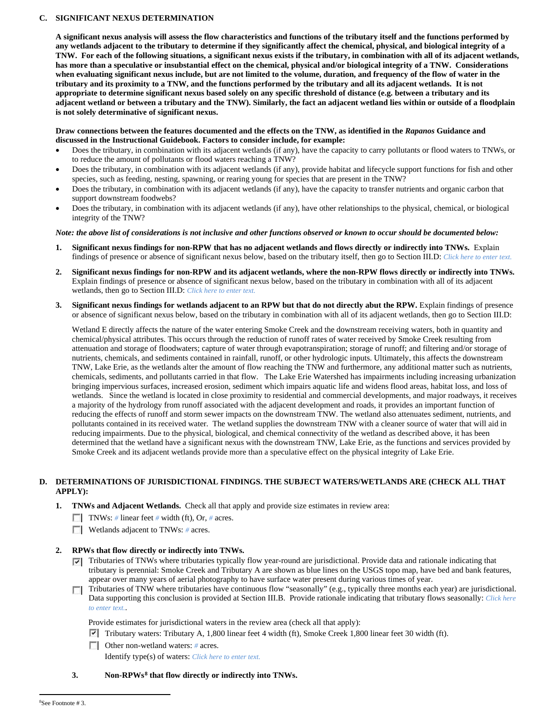## **C. SIGNIFICANT NEXUS DETERMINATION**

**A significant nexus analysis will assess the flow characteristics and functions of the tributary itself and the functions performed by any wetlands adjacent to the tributary to determine if they significantly affect the chemical, physical, and biological integrity of a TNW. For each of the following situations, a significant nexus exists if the tributary, in combination with all of its adjacent wetlands, has more than a speculative or insubstantial effect on the chemical, physical and/or biological integrity of a TNW. Considerations when evaluating significant nexus include, but are not limited to the volume, duration, and frequency of the flow of water in the tributary and its proximity to a TNW, and the functions performed by the tributary and all its adjacent wetlands. It is not appropriate to determine significant nexus based solely on any specific threshold of distance (e.g. between a tributary and its adjacent wetland or between a tributary and the TNW). Similarly, the fact an adjacent wetland lies within or outside of a floodplain is not solely determinative of significant nexus.** 

## **Draw connections between the features documented and the effects on the TNW, as identified in the** *Rapanos* **Guidance and discussed in the Instructional Guidebook. Factors to consider include, for example:**

- Does the tributary, in combination with its adjacent wetlands (if any), have the capacity to carry pollutants or flood waters to TNWs, or to reduce the amount of pollutants or flood waters reaching a TNW?
- Does the tributary, in combination with its adjacent wetlands (if any), provide habitat and lifecycle support functions for fish and other species, such as feeding, nesting, spawning, or rearing young for species that are present in the TNW?
- Does the tributary, in combination with its adjacent wetlands (if any), have the capacity to transfer nutrients and organic carbon that support downstream foodwebs?
- Does the tributary, in combination with its adjacent wetlands (if any), have other relationships to the physical, chemical, or biological integrity of the TNW?

## *Note: the above list of considerations is not inclusive and other functions observed or known to occur should be documented below:*

- **1. Significant nexus findings for non-RPW that has no adjacent wetlands and flows directly or indirectly into TNWs.** Explain findings of presence or absence of significant nexus below, based on the tributary itself, then go to Section III.D: *Click here to enter text.*
- **2. Significant nexus findings for non-RPW and its adjacent wetlands, where the non-RPW flows directly or indirectly into TNWs.**  Explain findings of presence or absence of significant nexus below, based on the tributary in combination with all of its adjacent wetlands, then go to Section III.D: *Click here to enter text.*
- **3. Significant nexus findings for wetlands adjacent to an RPW but that do not directly abut the RPW.** Explain findings of presence or absence of significant nexus below, based on the tributary in combination with all of its adjacent wetlands, then go to Section III.D:

Wetland E directly affects the nature of the water entering Smoke Creek and the downstream receiving waters, both in quantity and chemical/physical attributes. This occurs through the reduction of runoff rates of water received by Smoke Creek resulting from attenuation and storage of floodwaters; capture of water through evapotranspiration; storage of runoff; and filtering and/or storage of nutrients, chemicals, and sediments contained in rainfall, runoff, or other hydrologic inputs. Ultimately, this affects the downstream TNW, Lake Erie, as the wetlands alter the amount of flow reaching the TNW and furthermore, any additional matter such as nutrients, chemicals, sediments, and pollutants carried in that flow. The Lake Erie Watershed has impairments including increasing urbanization bringing impervious surfaces, increased erosion, sediment which impairs aquatic life and widens flood areas, habitat loss, and loss of wetlands. Since the wetland is located in close proximity to residential and commercial developments, and major roadways, it receives a majority of the hydrology from runoff associated with the adjacent development and roads, it provides an important function of reducing the effects of runoff and storm sewer impacts on the downstream TNW. The wetland also attenuates sediment, nutrients, and pollutants contained in its received water. The wetland supplies the downstream TNW with a cleaner source of water that will aid in reducing impairments. Due to the physical, biological, and chemical connectivity of the wetland as described above, it has been determined that the wetland have a significant nexus with the downstream TNW, Lake Erie, as the functions and services provided by Smoke Creek and its adjacent wetlands provide more than a speculative effect on the physical integrity of Lake Erie.

# **D. DETERMINATIONS OF JURISDICTIONAL FINDINGS. THE SUBJECT WATERS/WETLANDS ARE (CHECK ALL THAT APPLY):**

- **1. TNWs and Adjacent Wetlands.** Check all that apply and provide size estimates in review area:
	- TNWs: *#* linear feet *#* width (ft), Or, *#* acres.
	- **Wetlands adjacent to TNWs: # acres.**

## **2. RPWs that flow directly or indirectly into TNWs.**

- $\nabla$  Tributaries of TNWs where tributaries typically flow year-round are jurisdictional. Provide data and rationale indicating that tributary is perennial: Smoke Creek and Tributary A are shown as blue lines on the USGS topo map, have bed and bank features, appear over many years of aerial photography to have surface water present during various times of year.
- Tributaries of TNW where tributaries have continuous flow "seasonally" (e.g., typically three months each year) are jurisdictional. Data supporting this conclusion is provided at Section III.B. Provide rationale indicating that tributary flows seasonally: *Click here to enter text.*.

Provide estimates for jurisdictional waters in the review area (check all that apply):

- $\triangledown$  Tributary waters: Tributary A, 1,800 linear feet 4 width (ft), Smoke Creek 1,800 linear feet 30 width (ft).
- Other non-wetland waters: *#* acres. Identify type(s) of waters: *Click here to enter text.*

## <span id="page-4-0"></span>**3. Non-RPWs[8](#page-4-0) that flow directly or indirectly into TNWs.**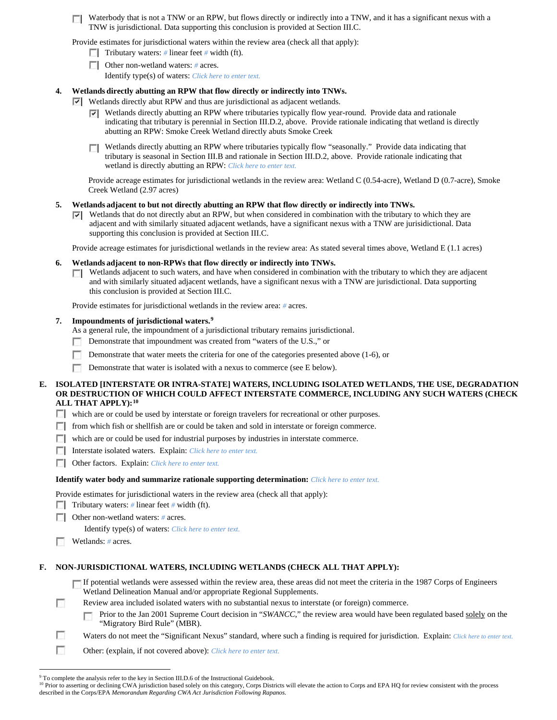Waterbody that is not a TNW or an RPW, but flows directly or indirectly into a TNW, and it has a significant nexus with a TNW is jurisdictional. Data supporting this conclusion is provided at Section III.C.

Provide estimates for jurisdictional waters within the review area (check all that apply):

- Tributary waters: # linear feet # width (ft).
- Other non-wetland waters: *#* acres.

Identify type(s) of waters: *Click here to enter text.*

## **4. Wetlands directly abutting an RPW that flow directly or indirectly into TNWs.**

Wetlands directly abut RPW and thus are jurisdictional as adjacent wetlands.

- Wetlands directly abutting an RPW where tributaries typically flow year-round. Provide data and rationale ⊽ indicating that tributary is perennial in Section III.D.2, above. Provide rationale indicating that wetland is directly abutting an RPW: Smoke Creek Wetland directly abuts Smoke Creek
- Wetlands directly abutting an RPW where tributaries typically flow "seasonally." Provide data indicating that **TT** tributary is seasonal in Section III.B and rationale in Section III.D.2, above. Provide rationale indicating that wetland is directly abutting an RPW: *Click here to enter text.*

Provide acreage estimates for jurisdictional wetlands in the review area: Wetland C (0.54-acre), Wetland D (0.7-acre), Smoke Creek Wetland (2.97 acres)

## **5. Wetlands adjacent to but not directly abutting an RPW that flow directly or indirectly into TNWs.**

 $\nabla$  Wetlands that do not directly abut an RPW, but when considered in combination with the tributary to which they are adjacent and with similarly situated adjacent wetlands, have a significant nexus with a TNW are jurisidictional. Data supporting this conclusion is provided at Section III.C.

Provide acreage estimates for jurisdictional wetlands in the review area: As stated several times above, Wetland E (1.1 acres)

## **6. Wetlands adjacent to non-RPWs that flow directly or indirectly into TNWs.**

 $\Box$  Wetlands adjacent to such waters, and have when considered in combination with the tributary to which they are adjacent and with similarly situated adjacent wetlands, have a significant nexus with a TNW are jurisdictional. Data supporting this conclusion is provided at Section III.C.

Provide estimates for jurisdictional wetlands in the review area: *#* acres.

## **7. Impoundments of jurisdictional waters. [9](#page-5-0)**

As a general rule, the impoundment of a jurisdictional tributary remains jurisdictional.

- Demonstrate that impoundment was created from "waters of the U.S.," or L.
- Г Demonstrate that water meets the criteria for one of the categories presented above (1-6), or
- m Demonstrate that water is isolated with a nexus to commerce (see E below).

### **E. ISOLATED [INTERSTATE OR INTRA-STATE] WATERS, INCLUDING ISOLATED WETLANDS, THE USE, DEGRADATION OR DESTRUCTION OF WHICH COULD AFFECT INTERSTATE COMMERCE, INCLUDING ANY SUCH WATERS (CHECK ALL THAT APPLY):[10](#page-5-1)**

which are or could be used by interstate or foreign travelers for recreational or other purposes.

- from which fish or shellfish are or could be taken and sold in interstate or foreign commerce.
- $\Box$  which are or could be used for industrial purposes by industries in interstate commerce.
- Interstate isolated waters.Explain: *Click here to enter text.*
- **COREGIST:** Other factors. Explain: *Click here to enter text.*

### **Identify water body and summarize rationale supporting determination:** *Click here to enter text.*

Provide estimates for jurisdictional waters in the review area (check all that apply):

- Tributary waters: # linear feet # width (ft).
- Other non-wetland waters: *#* acres.

Identify type(s) of waters: *Click here to enter text.*

п Wetlands: *#* acres.

## **F. NON-JURISDICTIONAL WATERS, INCLUDING WETLANDS (CHECK ALL THAT APPLY):**

 $\Box$  If potential wetlands were assessed within the review area, these areas did not meet the criteria in the 1987 Corps of Engineers Wetland Delineation Manual and/or appropriate Regional Supplements.

- m Review area included isolated waters with no substantial nexus to interstate (or foreign) commerce.
	- Prior to the Jan 2001 Supreme Court decision in "*SWANCC*," the review area would have been regulated based solely on the n "Migratory Bird Rule" (MBR).
- п Waters do not meet the "Significant Nexus" standard, where such a finding is required for jurisdiction. Explain: *Click here to enter text.*
- г Other: (explain, if not covered above): *Click here to enter text.*

<sup>&</sup>lt;sup>9</sup> To complete the analysis refer to the key in Section III.D.6 of the Instructional Guidebook.

<span id="page-5-1"></span><span id="page-5-0"></span><sup>&</sup>lt;sup>10</sup> Prior to asserting or declining CWA jurisdiction based solely on this category, Corps Districts will elevate the action to Corps and EPA HQ for review consistent with the process described in the Corps/EPA *Memorandum Regarding CWA Act Jurisdiction Following Rapanos.*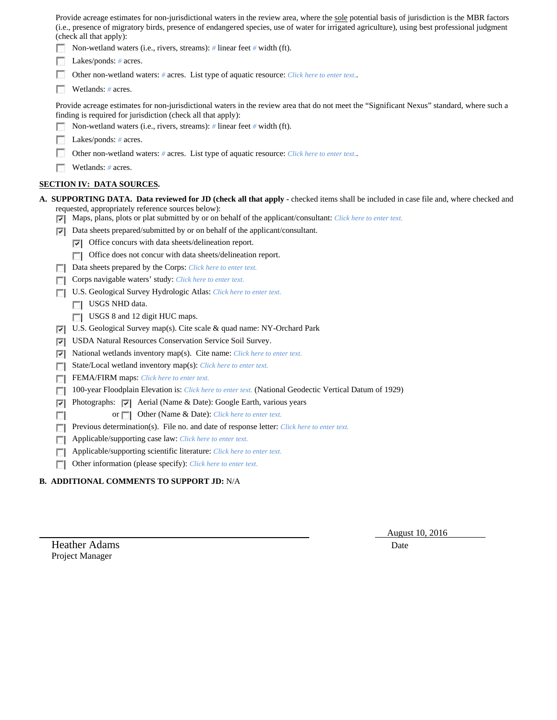Provide acreage estimates for non-jurisdictional waters in the review area, where the sole potential basis of jurisdiction is the MBR factors (i.e., presence of migratory birds, presence of endangered species, use of water for irrigated agriculture), using best professional judgment (check all that apply): Non-wetland waters (i.e., rivers, streams): *#* linear feet *#* width (ft). **Lakes/ponds:** # acres.  $\sim$ Other non-wetland waters: *#* acres. List type of aquatic resource: *Click here to enter text.*.  $\sim$ Wetlands: *#* acres. Provide acreage estimates for non-jurisdictional waters in the review area that do not meet the "Significant Nexus" standard, where such a finding is required for jurisdiction (check all that apply): Non-wetland waters (i.e., rivers, streams): *#* linear feet *#* width (ft). **Lakes/ponds:** # acres. П. Other non-wetland waters: *#* acres. List type of aquatic resource: *Click here to enter text.*. п. Wetlands: *#* acres. **SECTION IV: DATA SOURCES. A. SUPPORTING DATA. Data reviewed for JD (check all that apply -** checked items shall be included in case file and, where checked and requested, appropriately reference sources below): Maps, plans, plots or plat submitted by or on behalf of the applicant/consultant: *Click here to enter text.* Data sheets prepared/submitted by or on behalf of the applicant/consultant.  $\nabla$  Office concurs with data sheets/delineation report. Office does not concur with data sheets/delineation report. Data sheets prepared by the Corps: *Click here to enter text.* Corps navigable waters' study: *Click here to enter text.* U.S. Geological Survey Hydrologic Atlas: *Click here to enter text.* USGS NHD data. USGS 8 and 12 digit HUC maps. U.S. Geological Survey map(s). Cite scale & quad name: NY-Orchard Park USDA Natural Resources Conservation Service Soil Survey. National wetlands inventory map(s). Cite name: *Click here to enter text.* State/Local wetland inventory map(s): *Click here to enter text.* FEMA/FIRM maps: *Click here to enter text.* 100-year Floodplain Elevation is: *Click here to enter text.* (National Geodectic Vertical Datum of 1929)  $|\nabla|$  Photographs:  $|\nabla|$  Aerial (Name & Date): Google Earth, various years or **Other (Name & Date):** *Click here to enter text.*  $\sim$ **Previous determination(s). File no. and date of response letter:** *Click here to enter text.* Applicable/supporting case law: *Click here to enter text.* Applicable/supporting scientific literature: *Click here to enter text.* Other information (please specify): *Click here to enter text.*

# **B. ADDITIONAL COMMENTS TO SUPPORT JD:** N/A

Heather Adams Date **Date** Project Manager

August 10, 2016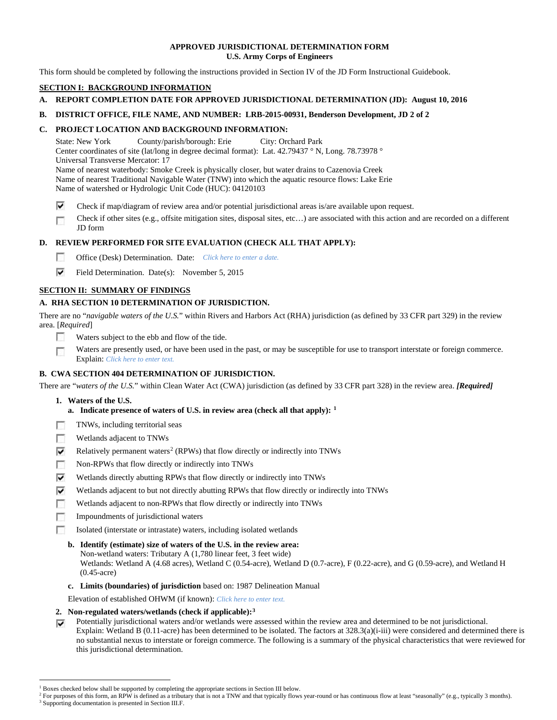## **APPROVED JURISDICTIONAL DETERMINATION FORM U.S. Army Corps of Engineers**

This form should be completed by following the instructions provided in Section IV of the JD Form Instructional Guidebook.

# **SECTION I: BACKGROUND INFORMATION**

- **A. REPORT COMPLETION DATE FOR APPROVED JURISDICTIONAL DETERMINATION (JD): August 10, 2016**
- **B. DISTRICT OFFICE, FILE NAME, AND NUMBER: LRB-2015-00931, Benderson Development, JD 2 of 2**

# **C. PROJECT LOCATION AND BACKGROUND INFORMATION:**

State: New York County/parish/borough: Erie City: Orchard Park Center coordinates of site (lat/long in degree decimal format): Lat. 42.79437 ° N, Long. 78.73978 ° Universal Transverse Mercator: 17 Name of nearest waterbody: Smoke Creek is physically closer, but water drains to Cazenovia Creek Name of nearest Traditional Navigable Water (TNW) into which the aquatic resource flows: Lake Erie Name of watershed or Hydrologic Unit Code (HUC): 04120103

- ⊽ Check if map/diagram of review area and/or potential jurisdictional areas is/are available upon request.
- Check if other sites (e.g., offsite mitigation sites, disposal sites, etc…) are associated with this action and are recorded on a different г JD form

# **D. REVIEW PERFORMED FOR SITE EVALUATION (CHECK ALL THAT APPLY):**

- $\sim$ Office (Desk) Determination. Date: *Click here to enter a date.*
- ⊽ Field Determination. Date(s): November 5, 2015

# **SECTION II: SUMMARY OF FINDINGS**

# **A. RHA SECTION 10 DETERMINATION OF JURISDICTION.**

There are no "*navigable waters of the U.S.*" within Rivers and Harbors Act (RHA) jurisdiction (as defined by 33 CFR part 329) in the review area. [*Required*]

- $\sim$ Waters subject to the ebb and flow of the tide.
- Waters are presently used, or have been used in the past, or may be susceptible for use to transport interstate or foreign commerce. 下 Explain: *Click here to enter text.*

# **B. CWA SECTION 404 DETERMINATION OF JURISDICTION.**

There are "*waters of the U.S.*" within Clean Water Act (CWA) jurisdiction (as defined by 33 CFR part 328) in the review area. *[Required]*

- **1. Waters of the U.S.**
	- **a. Indicate presence of waters of U.S. in review area (check all that apply): [1](#page-7-0)**
- m TNWs, including territorial seas
- $\sim$ Wetlands adjacent to TNWs
- ⊽ Relatively permanent waters<sup>[2](#page-7-1)</sup> (RPWs) that flow directly or indirectly into TNWs
- $\overline{a}$ Non-RPWs that flow directly or indirectly into TNWs
- ⊽ Wetlands directly abutting RPWs that flow directly or indirectly into TNWs
- ⊽ Wetlands adjacent to but not directly abutting RPWs that flow directly or indirectly into TNWs
- г Wetlands adjacent to non-RPWs that flow directly or indirectly into TNWs
- **To** Impoundments of jurisdictional waters
- Isolated (interstate or intrastate) waters, including isolated wetlands п
	- **b. Identify (estimate) size of waters of the U.S. in the review area:** Non-wetland waters: Tributary A (1,780 linear feet, 3 feet wide) Wetlands: Wetland A (4.68 acres), Wetland C (0.54-acre), Wetland D (0.7-acre), F (0.22-acre), and G (0.59-acre), and Wetland H (0.45-acre)
	- **c. Limits (boundaries) of jurisdiction** based on: 1987 Delineation Manual
- Elevation of established OHWM (if known): *Click here to enter text.*
- **2. Non-regulated waters/wetlands (check if applicable):[3](#page-7-2)**
- Potentially jurisdictional waters and/or wetlands were assessed within the review area and determined to be not jurisdictional. ⊽ Explain: Wetland B (0.11-acre) has been determined to be isolated. The factors at 328.3(a)(i-iii) were considered and determined there is no substantial nexus to interstate or foreign commerce. The following is a summary of the physical characteristics that were reviewed for this jurisdictional determination.

<sup>&</sup>lt;sup>1</sup> Boxes checked below shall be supported by completing the appropriate sections in Section III below.

<span id="page-7-2"></span><span id="page-7-1"></span><span id="page-7-0"></span>For purposes of this form, an RPW is defined as a tributary that is not a TNW and that typically flows year-round or has continuous flow at least "seasonally" (e.g., typically 3 months). <sup>3</sup> Supporting documentation is presented in Section III.F.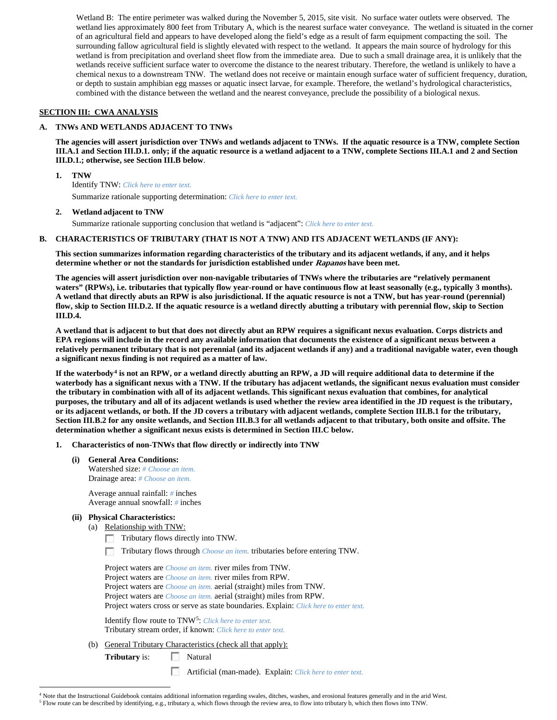Wetland B: The entire perimeter was walked during the November 5, 2015, site visit. No surface water outlets were observed. The wetland lies approximately 800 feet from Tributary A, which is the nearest surface water conveyance. The wetland is situated in the corner of an agricultural field and appears to have developed along the field's edge as a result of farm equipment compacting the soil. The surrounding fallow agricultural field is slightly elevated with respect to the wetland. It appears the main source of hydrology for this wetland is from precipitation and overland sheet flow from the immediate area. Due to such a small drainage area, it is unlikely that the wetlands receive sufficient surface water to overcome the distance to the nearest tributary. Therefore, the wetland is unlikely to have a chemical nexus to a downstream TNW. The wetland does not receive or maintain enough surface water of sufficient frequency, duration, or depth to sustain amphibian egg masses or aquatic insect larvae, for example. Therefore, the wetland's hydrological characteristics, combined with the distance between the wetland and the nearest conveyance, preclude the possibility of a biological nexus.

## **SECTION III: CWA ANALYSIS**

## **A. TNWs AND WETLANDS ADJACENT TO TNWs**

**The agencies will assert jurisdiction over TNWs and wetlands adjacent to TNWs. If the aquatic resource is a TNW, complete Section III.A.1 and Section III.D.1. only; if the aquatic resource is a wetland adjacent to a TNW, complete Sections III.A.1 and 2 and Section III.D.1.; otherwise, see Section III.B below**.

**1. TNW** 

Identify TNW: *Click here to enter text.*

Summarize rationale supporting determination: *Click here to enter text.*

## **2. Wetland adjacent to TNW**

Summarize rationale supporting conclusion that wetland is "adjacent": *Click here to enter text.*

### **B. CHARACTERISTICS OF TRIBUTARY (THAT IS NOT A TNW) AND ITS ADJACENT WETLANDS (IF ANY):**

**This section summarizes information regarding characteristics of the tributary and its adjacent wetlands, if any, and it helps determine whether or not the standards for jurisdiction established under Rapanos have been met.** 

**The agencies will assert jurisdiction over non-navigable tributaries of TNWs where the tributaries are "relatively permanent waters" (RPWs), i.e. tributaries that typically flow year-round or have continuous flow at least seasonally (e.g., typically 3 months). A wetland that directly abuts an RPW is also jurisdictional. If the aquatic resource is not a TNW, but has year-round (perennial) flow, skip to Section III.D.2. If the aquatic resource is a wetland directly abutting a tributary with perennial flow, skip to Section III.D.4.**

**A wetland that is adjacent to but that does not directly abut an RPW requires a significant nexus evaluation. Corps districts and EPA regions will include in the record any available information that documents the existence of a significant nexus between a relatively permanent tributary that is not perennial (and its adjacent wetlands if any) and a traditional navigable water, even though a significant nexus finding is not required as a matter of law.**

**If the waterbody[4](#page-8-0) is not an RPW, or a wetland directly abutting an RPW, a JD will require additional data to determine if the waterbody has a significant nexus with a TNW. If the tributary has adjacent wetlands, the significant nexus evaluation must consider the tributary in combination with all of its adjacent wetlands. This significant nexus evaluation that combines, for analytical purposes, the tributary and all of its adjacent wetlands is used whether the review area identified in the JD request is the tributary, or its adjacent wetlands, or both. If the JD covers a tributary with adjacent wetlands, complete Section III.B.1 for the tributary, Section III.B.2 for any onsite wetlands, and Section III.B.3 for all wetlands adjacent to that tributary, both onsite and offsite. The determination whether a significant nexus exists is determined in Section III.C below.**

- **1. Characteristics of non-TNWs that flow directly or indirectly into TNW**
	- **(i) General Area Conditions:**

Watershed size: *# Choose an item.* Drainage area: *# Choose an item.*

Average annual rainfall: *#* inches Average annual snowfall: *#* inches

## **(ii) Physical Characteristics:**

- (a) Relationship with TNW:
	- Tributary flows directly into TNW.
	- Tributary flows through *Choose an item.* tributaries before entering TNW.

Project waters are *Choose an item.* river miles from TNW. Project waters are *Choose an item.* river miles from RPW. Project waters are *Choose an item.* aerial (straight) miles from TNW. Project waters are *Choose an item.* aerial (straight) miles from RPW. Project waters cross or serve as state boundaries. Explain: *Click here to enter text.*

Identify flow route to TNW[5:](#page-8-1) *Click here to enter text.* Tributary stream order, if known: *Click here to enter text.*

(b) General Tributary Characteristics (check all that apply):

**Tributary** is: Natural

**TT** Artificial (man-made). Explain: *Click here to enter text.*

<span id="page-8-1"></span><span id="page-8-0"></span> <sup>4</sup> Note that the Instructional Guidebook contains additional information regarding swales, ditches, washes, and erosional features generally and in the arid West. <sup>5</sup> Flow route can be described by identifying, e.g., tributary a, which flows through the review area, to flow into tributary b, which then flows into TNW.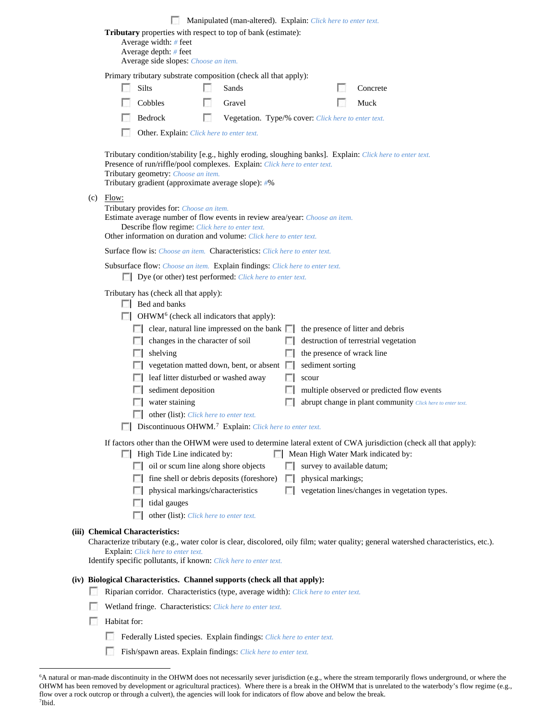|     |                                 |        |                                                                                                                                                                                                                                                                                                                                                                                                                                                                                       |   | Manipulated (man-altered). Explain: Click here to enter text. |    |                           |                                                                                                                                                                                                                      |  |
|-----|---------------------------------|--------|---------------------------------------------------------------------------------------------------------------------------------------------------------------------------------------------------------------------------------------------------------------------------------------------------------------------------------------------------------------------------------------------------------------------------------------------------------------------------------------|---|---------------------------------------------------------------|----|---------------------------|----------------------------------------------------------------------------------------------------------------------------------------------------------------------------------------------------------------------|--|
|     |                                 |        | Tributary properties with respect to top of bank (estimate):<br>Average width: # feet<br>Average depth: $#$ feet<br>Average side slopes: Choose an item.                                                                                                                                                                                                                                                                                                                              |   |                                                               |    |                           |                                                                                                                                                                                                                      |  |
|     |                                 |        |                                                                                                                                                                                                                                                                                                                                                                                                                                                                                       |   |                                                               |    |                           |                                                                                                                                                                                                                      |  |
|     |                                 | Silts  | Primary tributary substrate composition (check all that apply):                                                                                                                                                                                                                                                                                                                                                                                                                       |   | Sands                                                         |    |                           | Concrete                                                                                                                                                                                                             |  |
|     |                                 |        | Cobbles                                                                                                                                                                                                                                                                                                                                                                                                                                                                               |   | Gravel                                                        |    |                           | Muck                                                                                                                                                                                                                 |  |
|     |                                 |        | Bedrock                                                                                                                                                                                                                                                                                                                                                                                                                                                                               | п | Vegetation. Type/% cover: Click here to enter text.           |    |                           |                                                                                                                                                                                                                      |  |
|     |                                 |        | Other. Explain: Click here to enter text.                                                                                                                                                                                                                                                                                                                                                                                                                                             |   |                                                               |    |                           |                                                                                                                                                                                                                      |  |
|     |                                 |        | Presence of run/riffle/pool complexes. Explain: Click here to enter text.<br>Tributary geometry: Choose an item.<br>Tributary gradient (approximate average slope): #%                                                                                                                                                                                                                                                                                                                |   |                                                               |    |                           | Tributary condition/stability [e.g., highly eroding, sloughing banks]. Explain: Click here to enter text.                                                                                                            |  |
| (c) | Flow:                           |        | Tributary provides for: Choose an item.<br>Estimate average number of flow events in review area/year: Choose an item.<br>Describe flow regime: Click here to enter text.<br>Other information on duration and volume: Click here to enter text.                                                                                                                                                                                                                                      |   |                                                               |    |                           |                                                                                                                                                                                                                      |  |
|     |                                 |        | <b>Surface flow is:</b> <i>Choose an item.</i> <b>Characteristics:</b> <i>Click here to enter text.</i>                                                                                                                                                                                                                                                                                                                                                                               |   |                                                               |    |                           |                                                                                                                                                                                                                      |  |
|     |                                 |        | Subsurface flow: Choose an item. Explain findings: Click here to enter text.<br><b>Dye</b> (or other) test performed: <i>Click here to enter text.</i>                                                                                                                                                                                                                                                                                                                                |   |                                                               |    |                           |                                                                                                                                                                                                                      |  |
|     |                                 | $\Box$ | Tributary has (check all that apply):<br>$\Box$ Bed and banks<br>OHWM <sup>6</sup> (check all indicators that apply):<br>$\Box$ clear, natural line impressed on the bank $\Box$<br>changes in the character of soil<br>$\Box$ shelving<br>vegetation matted down, bent, or absent<br>leaf litter disturbed or washed away<br>sediment deposition<br>water staining<br>other (list): Click here to enter text.<br>Discontinuous OHWM. <sup>7</sup> Explain: Click here to enter text. |   |                                                               | L. | sediment sorting<br>scour | the presence of litter and debris<br>destruction of terrestrial vegetation<br>the presence of wrack line<br>multiple observed or predicted flow events<br>abrupt change in plant community Click here to enter text. |  |
|     |                                 |        | High Tide Line indicated by:                                                                                                                                                                                                                                                                                                                                                                                                                                                          |   |                                                               |    |                           | If factors other than the OHWM were used to determine lateral extent of CWA jurisdiction (check all that apply):<br>Mean High Water Mark indicated by:                                                               |  |
|     |                                 |        | oil or scum line along shore objects                                                                                                                                                                                                                                                                                                                                                                                                                                                  |   |                                                               |    |                           | survey to available datum;                                                                                                                                                                                           |  |
|     |                                 |        | fine shell or debris deposits (foreshore)                                                                                                                                                                                                                                                                                                                                                                                                                                             |   |                                                               |    | physical markings;        |                                                                                                                                                                                                                      |  |
|     |                                 |        | physical markings/characteristics<br>tidal gauges                                                                                                                                                                                                                                                                                                                                                                                                                                     |   |                                                               |    |                           | vegetation lines/changes in vegetation types.                                                                                                                                                                        |  |
|     |                                 |        | other (list): Click here to enter text.                                                                                                                                                                                                                                                                                                                                                                                                                                               |   |                                                               |    |                           |                                                                                                                                                                                                                      |  |
|     | (iii) Chemical Characteristics: |        | <b>Explain:</b> Click here to enter text.<br>Identify specific pollutants, if known: Click here to enter text.                                                                                                                                                                                                                                                                                                                                                                        |   |                                                               |    |                           | Characterize tributary (e.g., water color is clear, discolored, oily film; water quality; general watershed characteristics, etc.).                                                                                  |  |
|     |                                 |        | (iv) Biological Characteristics. Channel supports (check all that apply):                                                                                                                                                                                                                                                                                                                                                                                                             |   |                                                               |    |                           |                                                                                                                                                                                                                      |  |
|     |                                 |        | Riparian corridor. Characteristics (type, average width): Click here to enter text.                                                                                                                                                                                                                                                                                                                                                                                                   |   |                                                               |    |                           |                                                                                                                                                                                                                      |  |
|     |                                 |        | Wetland fringe. Characteristics: Click here to enter text.                                                                                                                                                                                                                                                                                                                                                                                                                            |   |                                                               |    |                           |                                                                                                                                                                                                                      |  |
|     | Habitat for:                    |        |                                                                                                                                                                                                                                                                                                                                                                                                                                                                                       |   |                                                               |    |                           |                                                                                                                                                                                                                      |  |
|     |                                 |        | Federally Listed species. Explain findings: Click here to enter text.                                                                                                                                                                                                                                                                                                                                                                                                                 |   |                                                               |    |                           |                                                                                                                                                                                                                      |  |
|     |                                 |        | Fish/spawn areas. Explain findings: Click here to enter text.                                                                                                                                                                                                                                                                                                                                                                                                                         |   |                                                               |    |                           |                                                                                                                                                                                                                      |  |

<span id="page-9-1"></span><span id="page-9-0"></span> <sup>6</sup> A natural or man-made discontinuity in the OHWM does not necessarily sever jurisdiction (e.g., where the stream temporarily flows underground, or where the OHWM has been removed by development or agricultural practices). Where there is a break in the OHWM that is unrelated to the waterbody's flow regime (e.g., flow over a rock outcrop or through a culvert), the agencies will look for indicators of flow above and below the break. 7 Ibid.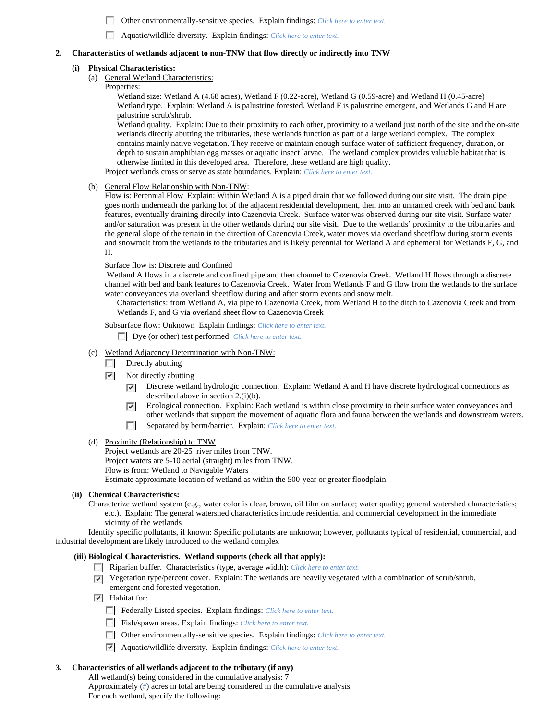- m. Other environmentally-sensitive species. Explain findings: *Click here to enter text.*
- n Aquatic/wildlife diversity. Explain findings: *Click here to enter text.*

### **2. Characteristics of wetlands adjacent to non-TNW that flow directly or indirectly into TNW**

#### **(i) Physical Characteristics:**

- (a) General Wetland Characteristics:
	- Properties:

Wetland size: Wetland A (4.68 acres), Wetland F (0.22-acre), Wetland G (0.59-acre) and Wetland H (0.45-acre) Wetland type. Explain: Wetland A is palustrine forested. Wetland F is palustrine emergent, and Wetlands G and H are palustrine scrub/shrub.

Wetland quality. Explain: Due to their proximity to each other, proximity to a wetland just north of the site and the on-site wetlands directly abutting the tributaries, these wetlands function as part of a large wetland complex. The complex contains mainly native vegetation. They receive or maintain enough surface water of sufficient frequency, duration, or depth to sustain amphibian egg masses or aquatic insect larvae. The wetland complex provides valuable habitat that is otherwise limited in this developed area. Therefore, these wetland are high quality. Project wetlands cross or serve as state boundaries. Explain: *Click here to enter text.*

(b) General Flow Relationship with Non-TNW:

Flow is: Perennial Flow Explain: Within Wetland A is a piped drain that we followed during our site visit. The drain pipe goes north underneath the parking lot of the adjacent residential development, then into an unnamed creek with bed and bank features, eventually draining directly into Cazenovia Creek. Surface water was observed during our site visit. Surface water and/or saturation was present in the other wetlands during our site visit. Due to the wetlands' proximity to the tributaries and the general slope of the terrain in the direction of Cazenovia Creek, water moves via overland sheetflow during storm events and snowmelt from the wetlands to the tributaries and is likely perennial for Wetland A and ephemeral for Wetlands F, G, and H.

#### Surface flow is: Discrete and Confined

Wetland A flows in a discrete and confined pipe and then channel to Cazenovia Creek. Wetland H flows through a discrete channel with bed and bank features to Cazenovia Creek. Water from Wetlands F and G flow from the wetlands to the surface water conveyances via overland sheetflow during and after storm events and snow melt.

Characteristics: from Wetland A, via pipe to Cazenovia Creek, from Wetland H to the ditch to Cazenovia Creek and from Wetlands F, and G via overland sheet flow to Cazenovia Creek

Subsurface flow: Unknown Explain findings: *Click here to enter text.*

Dye (or other) test performed: *Click here to enter text.*

- (c) Wetland Adjacency Determination with Non-TNW:
	- $\Box$  Directly abutting
	- $\triangleright$  Not directly abutting
		- Discrete wetland hydrologic connection. Explain: Wetland A and H have discrete hydrological connections as ⊽ described above in section 2.(i)(b).
		- Ecological connection. Explain: Each wetland is within close proximity to their surface water conveyances and ⊽ other wetlands that support the movement of aquatic flora and fauna between the wetlands and downstream waters.
		- $\overline{\phantom{a}}$ Separated by berm/barrier. Explain: *Click here to enter text.*
- (d) Proximity (Relationship) to TNW

Project wetlands are 20-25 river miles from TNW. Project waters are 5-10 aerial (straight) miles from TNW.

Flow is from: Wetland to Navigable Waters Estimate approximate location of wetland as within the 500-year or greater floodplain.

### **(ii) Chemical Characteristics:**

Characterize wetland system (e.g., water color is clear, brown, oil film on surface; water quality; general watershed characteristics; etc.). Explain: The general watershed characteristics include residential and commercial development in the immediate vicinity of the wetlands

Identify specific pollutants, if known: Specific pollutants are unknown; however, pollutants typical of residential, commercial, and industrial development are likely introduced to the wetland complex

### **(iii) Biological Characteristics. Wetland supports (check all that apply):**

- Riparian buffer. Characteristics (type, average width): *Click here to enter text.*
- Vegetation type/percent cover. Explain: The wetlands are heavily vegetated with a combination of scrub/shrub, emergent and forested vegetation.
- $\triangledown$  Habitat for:
	- Federally Listed species. Explain findings: *Click here to enter text*.
	- Fish/spawn areas. Explain findings: *Click here to enter text*.
	- Other environmentally-sensitive species. Explain findings: *Click here to enter text.*
	- Aquatic/wildlife diversity. Explain findings: *Click here to enter text.*

### **3. Characteristics of all wetlands adjacent to the tributary (if any)**

All wetland(s) being considered in the cumulative analysis: 7 Approximately (*#*) acres in total are being considered in the cumulative analysis. For each wetland, specify the following: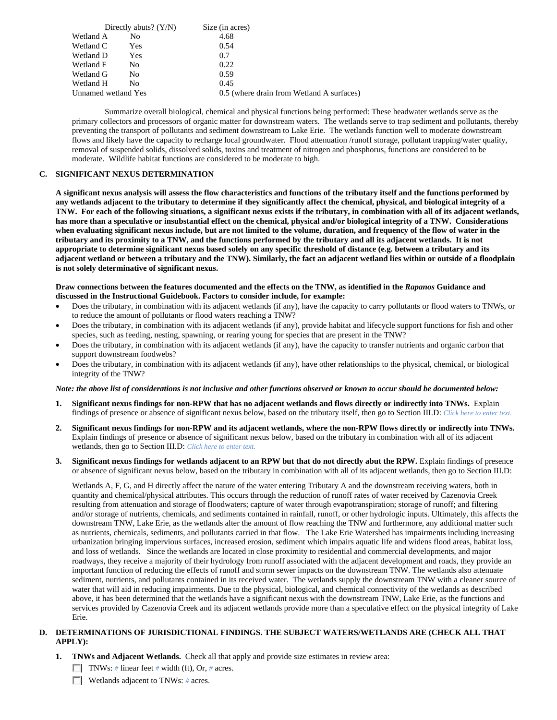|           | Directly abuts? $(Y/N)$ | Size (in acres)                           |  |
|-----------|-------------------------|-------------------------------------------|--|
| Wetland A | No                      | 4.68                                      |  |
| Wetland C | Yes                     | 0.54                                      |  |
| Wetland D | Yes                     | 0.7                                       |  |
| Wetland F | No                      | 0.22                                      |  |
| Wetland G | No                      | 0.59                                      |  |
| Wetland H | No                      | 0.45                                      |  |
|           | Unnamed wetland Yes     | 0.5 (where drain from Wetland A surfaces) |  |

Summarize overall biological, chemical and physical functions being performed: These headwater wetlands serve as the primary collectors and processors of organic matter for downstream waters. The wetlands serve to trap sediment and pollutants, thereby preventing the transport of pollutants and sediment downstream to Lake Erie. The wetlands function well to moderate downstream flows and likely have the capacity to recharge local groundwater. Flood attenuation /runoff storage, pollutant trapping/water quality, removal of suspended solids, dissolved solids, toxins and treatment of nitrogen and phosphorus, functions are considered to be moderate. Wildlife habitat functions are considered to be moderate to high.

## **C. SIGNIFICANT NEXUS DETERMINATION**

**A significant nexus analysis will assess the flow characteristics and functions of the tributary itself and the functions performed by any wetlands adjacent to the tributary to determine if they significantly affect the chemical, physical, and biological integrity of a TNW. For each of the following situations, a significant nexus exists if the tributary, in combination with all of its adjacent wetlands, has more than a speculative or insubstantial effect on the chemical, physical and/or biological integrity of a TNW. Considerations when evaluating significant nexus include, but are not limited to the volume, duration, and frequency of the flow of water in the tributary and its proximity to a TNW, and the functions performed by the tributary and all its adjacent wetlands. It is not appropriate to determine significant nexus based solely on any specific threshold of distance (e.g. between a tributary and its adjacent wetland or between a tributary and the TNW). Similarly, the fact an adjacent wetland lies within or outside of a floodplain is not solely determinative of significant nexus.** 

#### **Draw connections between the features documented and the effects on the TNW, as identified in the** *Rapanos* **Guidance and discussed in the Instructional Guidebook. Factors to consider include, for example:**

- Does the tributary, in combination with its adjacent wetlands (if any), have the capacity to carry pollutants or flood waters to TNWs, or to reduce the amount of pollutants or flood waters reaching a TNW?
- Does the tributary, in combination with its adjacent wetlands (if any), provide habitat and lifecycle support functions for fish and other species, such as feeding, nesting, spawning, or rearing young for species that are present in the TNW?
- Does the tributary, in combination with its adjacent wetlands (if any), have the capacity to transfer nutrients and organic carbon that support downstream foodwebs?
- Does the tributary, in combination with its adjacent wetlands (if any), have other relationships to the physical, chemical, or biological integrity of the TNW?

### *Note: the above list of considerations is not inclusive and other functions observed or known to occur should be documented below:*

- **1. Significant nexus findings for non-RPW that has no adjacent wetlands and flows directly or indirectly into TNWs.** Explain findings of presence or absence of significant nexus below, based on the tributary itself, then go to Section III.D: *Click here to enter text.*
- **2. Significant nexus findings for non-RPW and its adjacent wetlands, where the non-RPW flows directly or indirectly into TNWs.**  Explain findings of presence or absence of significant nexus below, based on the tributary in combination with all of its adjacent wetlands, then go to Section III.D: *Click here to enter text.*
- **3. Significant nexus findings for wetlands adjacent to an RPW but that do not directly abut the RPW.** Explain findings of presence or absence of significant nexus below, based on the tributary in combination with all of its adjacent wetlands, then go to Section III.D:

Wetlands A, F, G, and H directly affect the nature of the water entering Tributary A and the downstream receiving waters, both in quantity and chemical/physical attributes. This occurs through the reduction of runoff rates of water received by Cazenovia Creek resulting from attenuation and storage of floodwaters; capture of water through evapotranspiration; storage of runoff; and filtering and/or storage of nutrients, chemicals, and sediments contained in rainfall, runoff, or other hydrologic inputs. Ultimately, this affects the downstream TNW, Lake Erie, as the wetlands alter the amount of flow reaching the TNW and furthermore, any additional matter such as nutrients, chemicals, sediments, and pollutants carried in that flow. The Lake Erie Watershed has impairments including increasing urbanization bringing impervious surfaces, increased erosion, sediment which impairs aquatic life and widens flood areas, habitat loss, and loss of wetlands. Since the wetlands are located in close proximity to residential and commercial developments, and major roadways, they receive a majority of their hydrology from runoff associated with the adjacent development and roads, they provide an important function of reducing the effects of runoff and storm sewer impacts on the downstream TNW. The wetlands also attenuate sediment, nutrients, and pollutants contained in its received water. The wetlands supply the downstream TNW with a cleaner source of water that will aid in reducing impairments. Due to the physical, biological, and chemical connectivity of the wetlands as described above, it has been determined that the wetlands have a significant nexus with the downstream TNW, Lake Erie, as the functions and services provided by Cazenovia Creek and its adjacent wetlands provide more than a speculative effect on the physical integrity of Lake Erie.

## **D. DETERMINATIONS OF JURISDICTIONAL FINDINGS. THE SUBJECT WATERS/WETLANDS ARE (CHECK ALL THAT APPLY):**

- **1. TNWs and Adjacent Wetlands.** Check all that apply and provide size estimates in review area:
	- TNWs: *#* linear feet *#* width (ft), Or, *#* acres.
	- **Wetlands adjacent to TNWs: # acres.**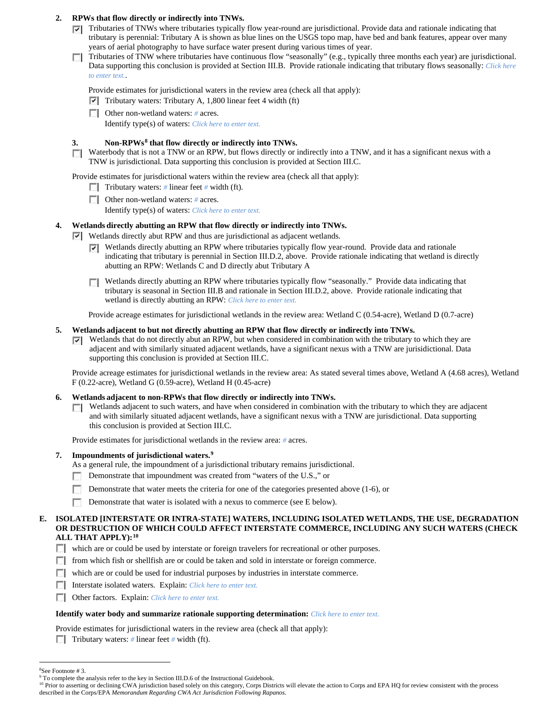## **2. RPWs that flow directly or indirectly into TNWs.**

- $\nabla$  Tributaries of TNWs where tributaries typically flow year-round are jurisdictional. Provide data and rationale indicating that tributary is perennial: Tributary A is shown as blue lines on the USGS topo map, have bed and bank features, appear over many years of aerial photography to have surface water present during various times of year.
- Tributaries of TNW where tributaries have continuous flow "seasonally" (e.g., typically three months each year) are jurisdictional. Data supporting this conclusion is provided at Section III.B. Provide rationale indicating that tributary flows seasonally: *Click here to enter text.*.

Provide estimates for jurisdictional waters in the review area (check all that apply):

 $\triangledown$  Tributary waters: Tributary A, 1,800 linear feet 4 width (ft)

Other non-wetland waters: *#* acres.

Identify type(s) of waters: *Click here to enter text.*

## **3. Non-RPWs[8](#page-12-0) that flow directly or indirectly into TNWs.**

Waterbody that is not a TNW or an RPW, but flows directly or indirectly into a TNW, and it has a significant nexus with a  $\overline{a}$ TNW is jurisdictional. Data supporting this conclusion is provided at Section III.C.

Provide estimates for jurisdictional waters within the review area (check all that apply):

- Tributary waters: # linear feet # width (ft).
- Other non-wetland waters: *#* acres.

Identify type(s) of waters: *Click here to enter text.*

# **4. Wetlands directly abutting an RPW that flow directly or indirectly into TNWs.**

Wetlands directly abut RPW and thus are jurisdictional as adjacent wetlands.

- Wetlands directly abutting an RPW where tributaries typically flow year-round. Provide data and rationale ⊽ indicating that tributary is perennial in Section III.D.2, above. Provide rationale indicating that wetland is directly abutting an RPW: Wetlands C and D directly abut Tributary A
- Wetlands directly abutting an RPW where tributaries typically flow "seasonally." Provide data indicating that tributary is seasonal in Section III.B and rationale in Section III.D.2, above. Provide rationale indicating that wetland is directly abutting an RPW: *Click here to enter text.*

Provide acreage estimates for jurisdictional wetlands in the review area: Wetland C (0.54-acre), Wetland D (0.7-acre)

## **5. Wetlands adjacent to but not directly abutting an RPW that flow directly or indirectly into TNWs.**

 $\nabla$  Wetlands that do not directly abut an RPW, but when considered in combination with the tributary to which they are adjacent and with similarly situated adjacent wetlands, have a significant nexus with a TNW are jurisidictional. Data supporting this conclusion is provided at Section III.C.

Provide acreage estimates for jurisdictional wetlands in the review area: As stated several times above, Wetland A (4.68 acres), Wetland F (0.22-acre), Wetland G (0.59-acre), Wetland H (0.45-acre)

### **6. Wetlands adjacent to non-RPWs that flow directly or indirectly into TNWs.**

 $\Box$  Wetlands adjacent to such waters, and have when considered in combination with the tributary to which they are adjacent and with similarly situated adjacent wetlands, have a significant nexus with a TNW are jurisdictional. Data supporting this conclusion is provided at Section III.C.

Provide estimates for jurisdictional wetlands in the review area: *#* acres.

**7. Impoundments of jurisdictional waters. [9](#page-12-1)**

As a general rule, the impoundment of a jurisdictional tributary remains jurisdictional.

- Demonstrate that impoundment was created from "waters of the U.S.," or L.
- г Demonstrate that water meets the criteria for one of the categories presented above (1-6), or
- m Demonstrate that water is isolated with a nexus to commerce (see E below).

### **E. ISOLATED [INTERSTATE OR INTRA-STATE] WATERS, INCLUDING ISOLATED WETLANDS, THE USE, DEGRADATION OR DESTRUCTION OF WHICH COULD AFFECT INTERSTATE COMMERCE, INCLUDING ANY SUCH WATERS (CHECK ALL THAT APPLY):[10](#page-12-2)**

- which are or could be used by interstate or foreign travelers for recreational or other purposes.
- from which fish or shellfish are or could be taken and sold in interstate or foreign commerce.
- which are or could be used for industrial purposes by industries in interstate commerce.
- Interstate isolated waters.Explain: *Click here to enter text.*
- Other factors.Explain: *Click here to enter text.*

### **Identify water body and summarize rationale supporting determination:** *Click here to enter text.*

- Provide estimates for jurisdictional waters in the review area (check all that apply):
- Tributary waters: # linear feet # width (ft).

 <sup>8</sup> See Footnote # 3.

<span id="page-12-1"></span><span id="page-12-0"></span><sup>&</sup>lt;sup>9</sup> To complete the analysis refer to the key in Section III.D.6 of the Instructional Guidebook.

<span id="page-12-2"></span><sup>&</sup>lt;sup>10</sup> Prior to asserting or declining CWA jurisdiction based solely on this category, Corps Districts will elevate the action to Corps and EPA HQ for review consistent with the process described in the Corps/EPA *Memorandum Regarding CWA Act Jurisdiction Following Rapanos.*